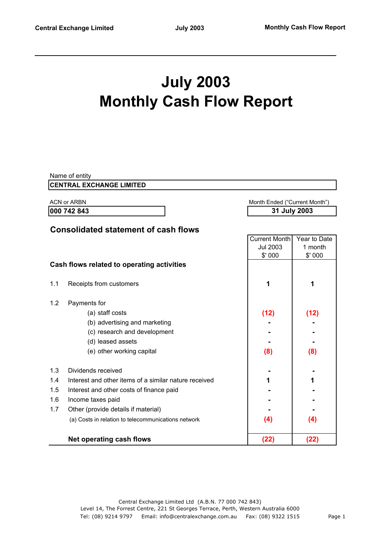# **July 2003 Monthly Cash Flow Report**

|     | Name of entity                                        |                                  |                         |  |
|-----|-------------------------------------------------------|----------------------------------|-------------------------|--|
|     | <b>CENTRAL EXCHANGE LIMITED</b>                       |                                  |                         |  |
|     | <b>ACN or ARBN</b>                                    | Month Ended ("Current Month")    |                         |  |
|     | 000 742 843                                           |                                  | 31 July 2003            |  |
|     |                                                       |                                  |                         |  |
|     | <b>Consolidated statement of cash flows</b>           | Current Month<br><b>Jul 2003</b> | Year to Date<br>1 month |  |
|     | Cash flows related to operating activities            | \$'000                           | \$'000                  |  |
| 1.1 | Receipts from customers                               | 1                                | 1                       |  |
| 1.2 | Payments for                                          |                                  |                         |  |
|     | (a) staff costs                                       | (12)                             | (12)                    |  |
|     | (b) advertising and marketing                         |                                  |                         |  |
|     | (c) research and development                          |                                  |                         |  |
|     | (d) leased assets                                     |                                  |                         |  |
|     | (e) other working capital                             | (8)                              | (8)                     |  |
| 1.3 | Dividends received                                    |                                  |                         |  |
| 1.4 | Interest and other items of a similar nature received | 1                                | 1                       |  |
| 1.5 | Interest and other costs of finance paid              |                                  |                         |  |
| 1.6 | Income taxes paid                                     |                                  |                         |  |
| 1.7 | Other (provide details if material)                   |                                  |                         |  |
|     | (a) Costs in relation to telecommunications network   | (4)                              | (4)                     |  |
|     | <b>Net operating cash flows</b>                       | (22)                             | (22)                    |  |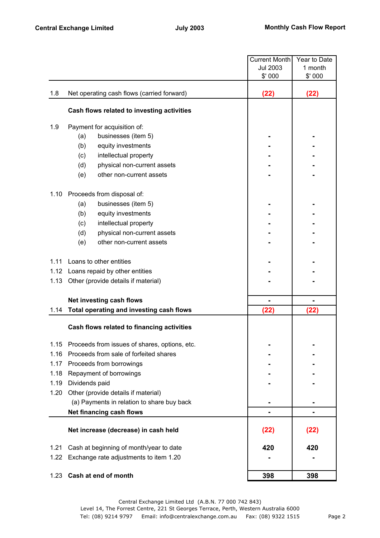|      |                                               | <b>Current Month</b> | Year to Date |
|------|-----------------------------------------------|----------------------|--------------|
|      |                                               | <b>Jul 2003</b>      | 1 month      |
|      |                                               | \$' 000              | \$' 000      |
| 1.8  | Net operating cash flows (carried forward)    | (22)                 | (22)         |
|      |                                               |                      |              |
|      | Cash flows related to investing activities    |                      |              |
| 1.9  | Payment for acquisition of:                   |                      |              |
|      | (a)<br>businesses (item 5)                    |                      |              |
|      | (b)<br>equity investments                     |                      |              |
|      | (c)<br>intellectual property                  |                      |              |
|      | (d)<br>physical non-current assets            |                      |              |
|      | other non-current assets<br>(e)               |                      |              |
| 1.10 | Proceeds from disposal of:                    |                      |              |
|      | businesses (item 5)<br>(a)                    |                      |              |
|      | (b)<br>equity investments                     |                      |              |
|      | intellectual property<br>(c)                  |                      |              |
|      | (d)<br>physical non-current assets            |                      |              |
|      | (e)<br>other non-current assets               |                      |              |
| 1.11 | Loans to other entities                       |                      |              |
|      | 1.12 Loans repaid by other entities           |                      |              |
| 1.13 | Other (provide details if material)           |                      |              |
|      | Net investing cash flows                      |                      |              |
| 1.14 | Total operating and investing cash flows      | (22)                 | (22)         |
|      |                                               |                      |              |
|      | Cash flows related to financing activities    |                      |              |
| 1.15 | Proceeds from issues of shares, options, etc. |                      |              |
| 1.16 | Proceeds from sale of forfeited shares        |                      |              |
| 1.17 | Proceeds from borrowings                      |                      |              |
| 1.18 | Repayment of borrowings                       |                      |              |
| 1.19 | Dividends paid                                |                      |              |
| 1.20 | Other (provide details if material)           |                      |              |
|      | (a) Payments in relation to share buy back    |                      |              |
|      | Net financing cash flows                      |                      |              |
|      | Net increase (decrease) in cash held          | (22)                 | (22)         |
|      |                                               |                      |              |
| 1.21 | Cash at beginning of month/year to date       | 420                  | 420          |
| 1.22 | Exchange rate adjustments to item 1.20        |                      |              |
| 1.23 | Cash at end of month                          | 398                  | 398          |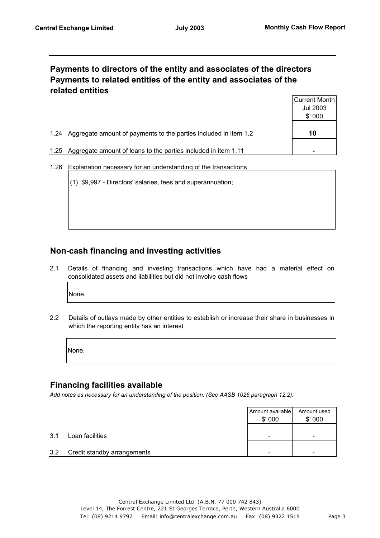## **Payments to directors of the entity and associates of the directors Payments to related entities of the entity and associates of the related entities**

|      |                                                                  | Current Month |
|------|------------------------------------------------------------------|---------------|
|      |                                                                  | Jul 2003      |
|      |                                                                  | \$'000        |
| 1.24 | Aggregate amount of payments to the parties included in item 1.2 | 10            |
| 1.25 | Aggregate amount of loans to the parties included in item 1.11   | -             |

- 1.26 Explanation necessary for an understanding of the transactions
	- (1) \$9,997 Directors' salaries, fees and superannuation;

## **Non-cash financing and investing activities**

2.1 Details of financing and investing transactions which have had a material effect on consolidated assets and liabilities but did not involve cash flows

None.

2.2 Details of outlays made by other entities to establish or increase their share in businesses in which the reporting entity has an interest

None.

#### **Financing facilities available**

*Add notes as necessary for an understanding of the position. (See AASB 1026 paragraph 12.2).*

|     |                             | Amount available<br>\$'000 | Amount used<br>\$'000 |
|-----|-----------------------------|----------------------------|-----------------------|
| 3.1 | Loan facilities             | -                          |                       |
| 3.2 | Credit standby arrangements |                            |                       |